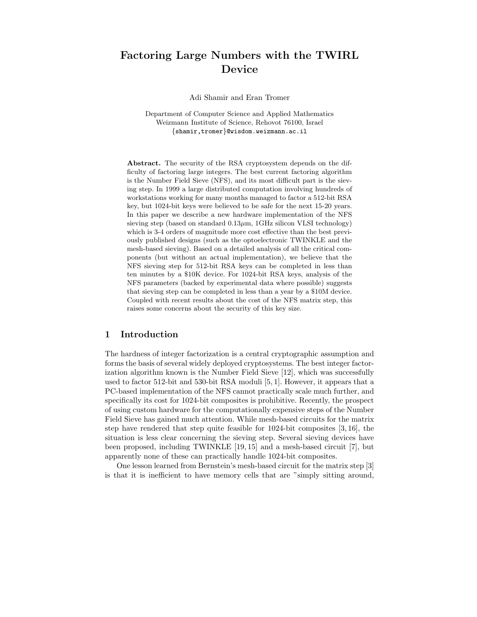# Factoring Large Numbers with the TWIRL Device

Adi Shamir and Eran Tromer

Department of Computer Science and Applied Mathematics Weizmann Institute of Science, Rehovot 76100, Israel {shamir,tromer}@wisdom.weizmann.ac.il

Abstract. The security of the RSA cryptosystem depends on the difficulty of factoring large integers. The best current factoring algorithm is the Number Field Sieve (NFS), and its most difficult part is the sieving step. In 1999 a large distributed computation involving hundreds of workstations working for many months managed to factor a 512-bit RSA key, but 1024-bit keys were believed to be safe for the next 15-20 years. In this paper we describe a new hardware implementation of the NFS sieving step (based on standard  $0.13 \mu m$ , 1GHz silicon VLSI technology) which is 3-4 orders of magnitude more cost effective than the best previously published designs (such as the optoelectronic TWINKLE and the mesh-based sieving). Based on a detailed analysis of all the critical components (but without an actual implementation), we believe that the NFS sieving step for 512-bit RSA keys can be completed in less than ten minutes by a \$10K device. For 1024-bit RSA keys, analysis of the NFS parameters (backed by experimental data where possible) suggests that sieving step can be completed in less than a year by a \$10M device. Coupled with recent results about the cost of the NFS matrix step, this raises some concerns about the security of this key size.

# 1 Introduction

The hardness of integer factorization is a central cryptographic assumption and forms the basis of several widely deployed cryptosystems. The best integer factorization algorithm known is the Number Field Sieve [12], which was successfully used to factor 512-bit and 530-bit RSA moduli [5, 1]. However, it appears that a PC-based implementation of the NFS cannot practically scale much further, and specifically its cost for 1024-bit composites is prohibitive. Recently, the prospect of using custom hardware for the computationally expensive steps of the Number Field Sieve has gained much attention. While mesh-based circuits for the matrix step have rendered that step quite feasible for 1024-bit composites [3, 16], the situation is less clear concerning the sieving step. Several sieving devices have been proposed, including TWINKLE [19, 15] and a mesh-based circuit [7], but apparently none of these can practically handle 1024-bit composites.

One lesson learned from Bernstein's mesh-based circuit for the matrix step [3] is that it is inefficient to have memory cells that are "simply sitting around,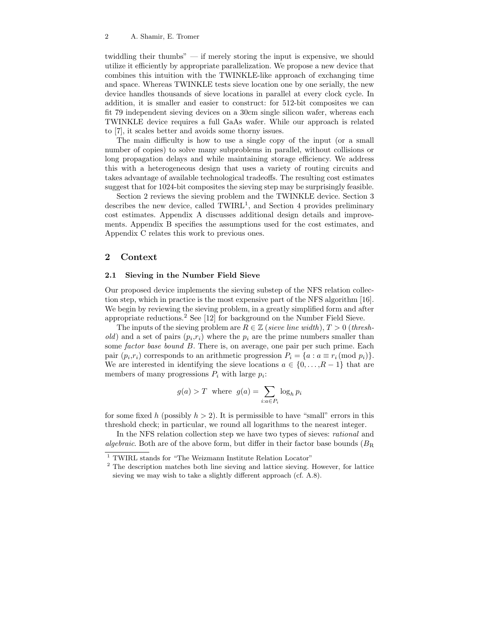twiddling their thumbs" — if merely storing the input is expensive, we should utilize it efficiently by appropriate parallelization. We propose a new device that combines this intuition with the TWINKLE-like approach of exchanging time and space. Whereas TWINKLE tests sieve location one by one serially, the new device handles thousands of sieve locations in parallel at every clock cycle. In addition, it is smaller and easier to construct: for 512-bit composites we can fit 79 independent sieving devices on a 30cm single silicon wafer, whereas each TWINKLE device requires a full GaAs wafer. While our approach is related to [7], it scales better and avoids some thorny issues.

The main difficulty is how to use a single copy of the input (or a small number of copies) to solve many subproblems in parallel, without collisions or long propagation delays and while maintaining storage efficiency. We address this with a heterogeneous design that uses a variety of routing circuits and takes advantage of available technological tradeoffs. The resulting cost estimates suggest that for 1024-bit composites the sieving step may be surprisingly feasible.

Section 2 reviews the sieving problem and the TWINKLE device. Section 3 describes the new device, called TWIRL<sup>1</sup>, and Section 4 provides preliminary cost estimates. Appendix A discusses additional design details and improvements. Appendix B specifies the assumptions used for the cost estimates, and Appendix C relates this work to previous ones.

# 2 Context

## 2.1 Sieving in the Number Field Sieve

Our proposed device implements the sieving substep of the NFS relation collection step, which in practice is the most expensive part of the NFS algorithm [16]. We begin by reviewing the sieving problem, in a greatly simplified form and after appropriate reductions.<sup>2</sup> See [12] for background on the Number Field Sieve.

The inputs of the sieving problem are  $R \in \mathbb{Z}$  (sieve line width),  $T > 0$  (threshold) and a set of pairs  $(p_i, r_i)$  where the  $p_i$  are the prime numbers smaller than some *factor base bound B*. There is, on average, one pair per such prime. Each pair  $(p_i, r_i)$  corresponds to an arithmetic progression  $P_i = \{a : a \equiv r_i \pmod{p_i}\}.$ We are interested in identifying the sieve locations  $a \in \{0, ..., R-1\}$  that are members of many progressions  $P_i$  with large  $p_i$ :

$$
g(a) > T \text{ where } g(a) = \sum_{i:a \in P_i} \log_h p_i
$$

for some fixed h (possibly  $h > 2$ ). It is permissible to have "small" errors in this threshold check; in particular, we round all logarithms to the nearest integer.

In the NFS relation collection step we have two types of sieves: rational and algebraic. Both are of the above form, but differ in their factor base bounds  $(B_R)$ 

 $^{\rm 1}$  TWIRL stands for "The Weizmann Institute Relation Locator"

<sup>2</sup> The description matches both line sieving and lattice sieving. However, for lattice sieving we may wish to take a slightly different approach (cf. A.8).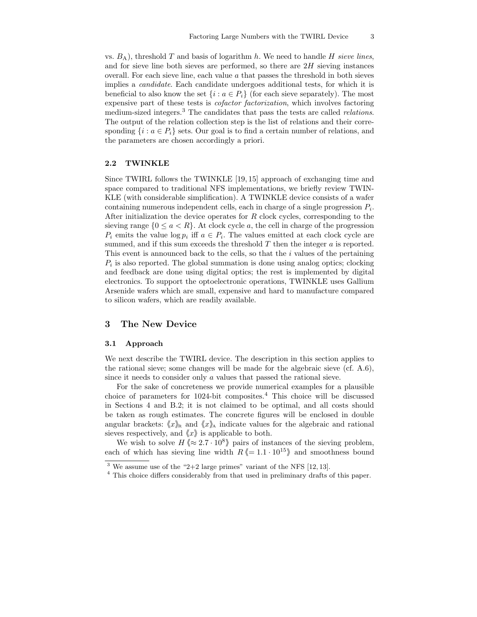vs.  $B_A$ ), threshold T and basis of logarithm h. We need to handle H sieve lines, and for sieve line both sieves are performed, so there are  $2H$  sieving instances overall. For each sieve line, each value  $\alpha$  that passes the threshold in both sieves implies a candidate. Each candidate undergoes additional tests, for which it is beneficial to also know the set  $\{i : a \in P_i\}$  (for each sieve separately). The most expensive part of these tests is cofactor factorization, which involves factoring medium-sized integers.<sup>3</sup> The candidates that pass the tests are called *relations*. The output of the relation collection step is the list of relations and their corresponding  $\{i : a \in P_i\}$  sets. Our goal is to find a certain number of relations, and the parameters are chosen accordingly a priori.

# 2.2 TWINKLE

Since TWIRL follows the TWINKLE [19, 15] approach of exchanging time and space compared to traditional NFS implementations, we briefly review TWIN-KLE (with considerable simplification). A TWINKLE device consists of a wafer containing numerous independent cells, each in charge of a single progression  $P_i$ . After initialization the device operates for  $R$  clock cycles, corresponding to the sieving range  $\{0 \leq a < R\}$ . At clock cycle a, the cell in charge of the progression  $P_i$  emits the value  $\log p_i$  iff  $a \in P_i$ . The values emitted at each clock cycle are summed, and if this sum exceeds the threshold  $T$  then the integer  $a$  is reported. This event is announced back to the cells, so that the i values of the pertaining  $P_i$  is also reported. The global summation is done using analog optics; clocking and feedback are done using digital optics; the rest is implemented by digital electronics. To support the optoelectronic operations, TWINKLE uses Gallium Arsenide wafers which are small, expensive and hard to manufacture compared to silicon wafers, which are readily available.

# 3 The New Device

## 3.1 Approach

We next describe the TWIRL device. The description in this section applies to the rational sieve; some changes will be made for the algebraic sieve (cf. A.6), since it needs to consider only a values that passed the rational sieve.

For the sake of concreteness we provide numerical examples for a plausible choice of parameters for 1024-bit composites.<sup>4</sup> This choice will be discussed in Sections 4 and B.2; it is not claimed to be optimal, and all costs should be taken as rough estimates. The concrete figures will be enclosed in double angular brackets:  $\langle x \rangle_{\mathbb{R}}$  and  $\langle x \rangle_{\mathbb{A}}$  indicate values for the algebraic and rational sieves respectively, and  $\langle x \rangle$  is applicable to both.

We wish to solve  $H \ll 2.7 \cdot 10^8$  pairs of instances of the sieving problem, each of which has sieving line width  $R \nleq 1.1 \cdot 10^{15}$  and smoothness bound

<sup>&</sup>lt;sup>3</sup> We assume use of the "2+2 large primes" variant of the NFS [12, 13].

<sup>4</sup> This choice differs considerably from that used in preliminary drafts of this paper.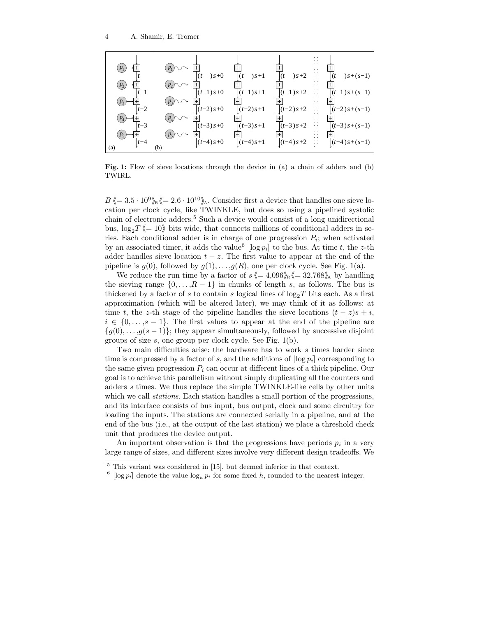

Fig. 1: Flow of sieve locations through the device in (a) a chain of adders and (b) TWIRL.

 $B \left(= 3.5 \cdot 10^9 \right)_{\rm R} \left(= 2.6 \cdot 10^{10} \right)_{\rm A}$ . Consider first a device that handles one sieve location per clock cycle, like TWINKLE, but does so using a pipelined systolic chain of electronic adders.<sup>5</sup> Such a device would consist of a long unidirectional bus,  $\log_2 T \langle 10 \rangle$  bits wide, that connects millions of conditional adders in series. Each conditional adder is in charge of one progression  $P_i$ ; when activated by an associated timer, it adds the value<sup>6</sup>  $\lfloor \log p_i \rfloor$  to the bus. At time t, the z-th adder handles sieve location  $t - z$ . The first value to appear at the end of the pipeline is  $g(0)$ , followed by  $g(1), \ldots, g(R)$ , one per clock cycle. See Fig. 1(a).

We reduce the run time by a factor of  $s \leq 4,096$ <sub>in</sub> $\leq 32,768$ <sup>i</sup> by handling the sieving range  $\{0, \ldots, R-1\}$  in chunks of length s, as follows. The bus is thickened by a factor of s to contain s logical lines of  $log_2T$  bits each. As a first approximation (which will be altered later), we may think of it as follows: at time t, the z-th stage of the pipeline handles the sieve locations  $(t - z)s + i$ ,  $i \in \{0, \ldots, s-1\}$ . The first values to appear at the end of the pipeline are  ${g(0), \ldots, g(s-1)}$ ; they appear simultaneously, followed by successive disjoint groups of size  $s$ , one group per clock cycle. See Fig.  $1(b)$ .

Two main difficulties arise: the hardware has to work s times harder since time is compressed by a factor of s, and the additions of  $\log p_i$  corresponding to the same given progression  $P_i$  can occur at different lines of a thick pipeline. Our goal is to achieve this parallelism without simply duplicating all the counters and adders s times. We thus replace the simple TWINKLE-like cells by other units which we call *stations*. Each station handles a small portion of the progressions, and its interface consists of bus input, bus output, clock and some circuitry for loading the inputs. The stations are connected serially in a pipeline, and at the end of the bus (i.e., at the output of the last station) we place a threshold check unit that produces the device output.

An important observation is that the progressions have periods  $p_i$  in a very large range of sizes, and different sizes involve very different design tradeoffs. We

 $^5$  This variant was considered in [15], but deemed inferior in that context.

<sup>&</sup>lt;sup>6</sup>  $\lfloor \log p_i \rfloor$  denote the value  $\log_h p_i$  for some fixed h, rounded to the nearest integer.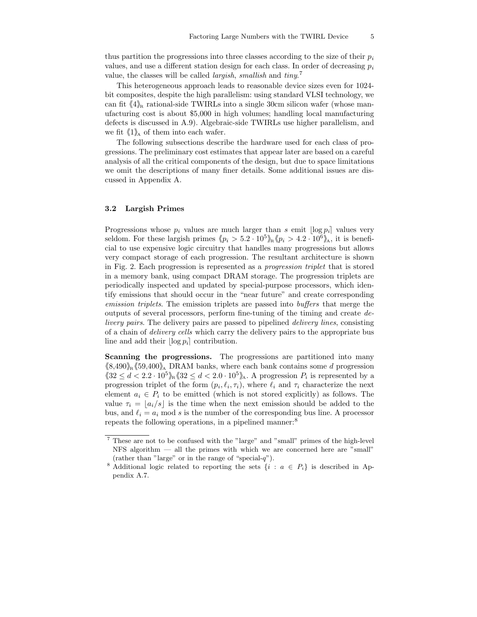thus partition the progressions into three classes according to the size of their  $p_i$ values, and use a different station design for each class. In order of decreasing  $p_i$ value, the classes will be called *largish*, *smallish* and  $tiny^7$ 

This heterogeneous approach leads to reasonable device sizes even for 1024 bit composites, despite the high parallelism: using standard VLSI technology, we can fit  $\langle 4 \rangle_{\rm R}$  rational-side TWIRLs into a single 30cm silicon wafer (whose manufacturing cost is about \$5,000 in high volumes; handling local manufacturing defects is discussed in A.9). Algebraic-side TWIRLs use higher parallelism, and we fit  $\langle 1 \rangle_A$  of them into each wafer.

The following subsections describe the hardware used for each class of progressions. The preliminary cost estimates that appear later are based on a careful analysis of all the critical components of the design, but due to space limitations we omit the descriptions of many finer details. Some additional issues are discussed in Appendix A.

## 3.2 Largish Primes

Progressions whose  $p_i$  values are much larger than s emit  $\log p_i$  values very seldom. For these largish primes  $\langle p_i \rangle > 5.2 \cdot 10^5 \rangle_R \langle p_i \rangle / 4.2 \cdot 10^6 \rangle_A$ , it is beneficial to use expensive logic circuitry that handles many progressions but allows very compact storage of each progression. The resultant architecture is shown in Fig. 2. Each progression is represented as a progression triplet that is stored in a memory bank, using compact DRAM storage. The progression triplets are periodically inspected and updated by special-purpose processors, which identify emissions that should occur in the "near future" and create corresponding emission triplets. The emission triplets are passed into buffers that merge the outputs of several processors, perform fine-tuning of the timing and create delivery pairs. The delivery pairs are passed to pipelined delivery lines, consisting of a chain of delivery cells which carry the delivery pairs to the appropriate bus line and add their  $\log p_i$  contribution.

Scanning the progressions. The progressions are partitioned into many  $\langle 8,490 \rangle_{\rm R}$   $\langle 59,400 \rangle_{\rm A}$  DRAM banks, where each bank contains some d progression  $32 \le d < 2.2 \cdot 10^5$ <sup>h</sup><sub>R</sub> $32 \le d < 2.0 \cdot 10^5$ <sup>h</sup><sub>A</sub>. A progression  $P_i$  is represented by a progression triplet of the form  $(p_i, \ell_i, \tau_i)$ , where  $\ell_i$  and  $\tau_i$  characterize the next element  $a_i \in P_i$  to be emitted (which is not stored explicitly) as follows. The value  $\tau_i = |a_i/s|$  is the time when the next emission should be added to the bus, and  $\ell_i = a_i$  mod s is the number of the corresponding bus line. A processor repeats the following operations, in a pipelined manner:<sup>8</sup>

<sup>7</sup> These are not to be confused with the "large" and "small" primes of the high-level NFS algorithm — all the primes with which we are concerned here are "small" (rather than "large" or in the range of "special-q").

<sup>&</sup>lt;sup>8</sup> Additional logic related to reporting the sets  $\{i : a \in P_i\}$  is described in Appendix A.7.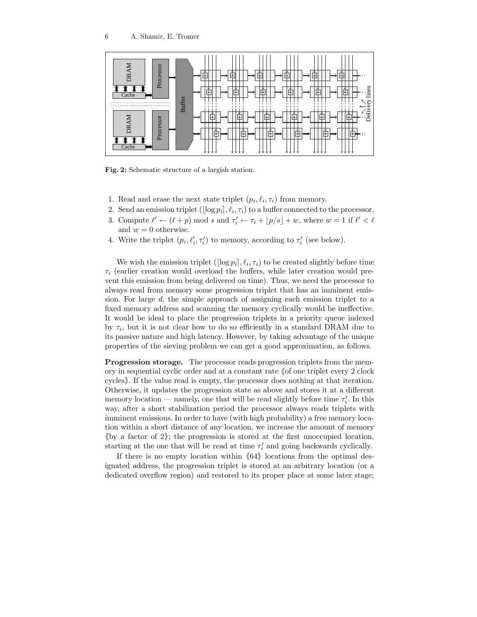

Fig. 2: Schematic structure of a largish station.

- 1. Read and erase the next state triplet  $(p_i, \ell_i, \tau_i)$  from memory.
- 2. Send an emission triplet  $(\lfloor \log p_i \rfloor, \ell_i, \tau_i)$  to a buffer connected to the processor.
- 3. Compute  $\ell' \leftarrow (\ell + p) \mod s$  and  $\tau'_i \leftarrow \tau_i + \lfloor p/s \rfloor + w$ , where  $w = 1$  if  $\ell' < \ell$ and  $w = 0$  otherwise.
- 4. Write the triplet  $(p_i, \ell'_i, \tau'_i)$  to memory, according to  $\tau'_i$  (see below).

We wish the emission triplet  $(\log p_i], \ell_i, \tau_i)$  to be created slightly before time  $\tau_i$  (earlier creation would overload the buffers, while later creation would prevent this emission from being delivered on time). Thus, we need the processor to always read from memory some progression triplet that has an imminent emission. For large d, the simple approach of assigning each emission triplet to a fixed memory address and scanning the memory cyclically would be ineffective. It would be ideal to place the progression triplets in a priority queue indexed by  $\tau_i$ , but it is not clear how to do so efficiently in a standard DRAM due to its passive nature and high latency. However, by taking advantage of the unique properties of the sieving problem we can get a good approximation, as follows.

Progression storage. The processor reads progression triplets from the memory in sequential cyclic order and at a constant rate  $\Diamond$  one triplet every 2 clock cycles). If the value read is empty, the processor does nothing at that iteration. Otherwise, it updates the progression state as above and stores it at a different memory location — namely, one that will be read slightly before time  $\tau'_i$ . In this way, after a short stabilization period the processor always reads triplets with imminent emissions. In order to have (with high probability) a free memory location within a short distance of any location, we increase the amount of memory (by a factor of  $2$ ); the progression is stored at the first unoccupied location, starting at the one that will be read at time  $\tau'_i$  and going backwards cyclically.

If there is no empty location within  $\langle 64 \rangle$  locations from the optimal designated address, the progression triplet is stored at an arbitrary location (or a dedicated overflow region) and restored to its proper place at some later stage;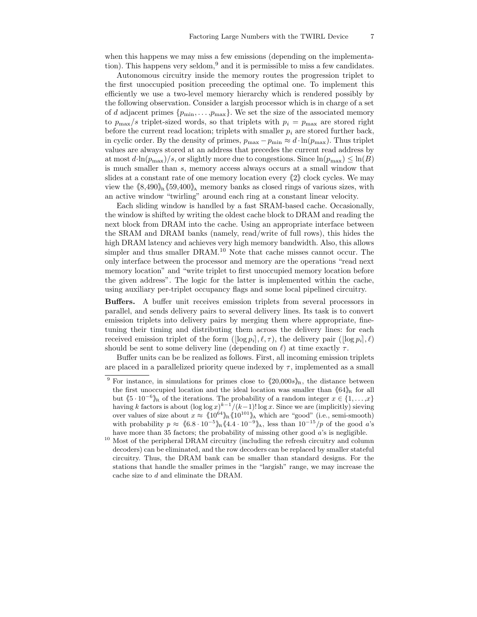when this happens we may miss a few emissions (depending on the implementation). This happens very seldom, $9$  and it is permissible to miss a few candidates.

Autonomous circuitry inside the memory routes the progression triplet to the first unoccupied position preceeding the optimal one. To implement this efficiently we use a two-level memory hierarchy which is rendered possibly by the following observation. Consider a largish processor which is in charge of a set of d adjacent primes  $\{p_{\min}, \ldots, p_{\max}\}$ . We set the size of the associated memory to  $p_{\text{max}}/s$  triplet-sized words, so that triplets with  $p_i = p_{\text{max}}$  are stored right before the current read location; triplets with smaller  $p_i$  are stored further back, in cyclic order. By the density of primes,  $p_{\text{max}} - p_{\text{min}} \approx d \cdot \ln(p_{\text{max}})$ . Thus triplet values are always stored at an address that precedes the current read address by at most  $d \cdot \ln(p_{\text{max}})/s$ , or slightly more due to congestions. Since  $\ln(p_{\text{max}}) \leq \ln(B)$ is much smaller than s, memory access always occurs at a small window that slides at a constant rate of one memory location every  $\langle 2 \rangle$  clock cycles. We may view the  $\langle 8,490 \rangle_{\rm B} \langle 59,400 \rangle_{\rm A}$  memory banks as closed rings of various sizes, with an active window "twirling" around each ring at a constant linear velocity.

Each sliding window is handled by a fast SRAM-based cache. Occasionally, the window is shifted by writing the oldest cache block to DRAM and reading the next block from DRAM into the cache. Using an appropriate interface between the SRAM and DRAM banks (namely, read/write of full rows), this hides the high DRAM latency and achieves very high memory bandwidth. Also, this allows simpler and thus smaller DRAM.<sup>10</sup> Note that cache misses cannot occur. The only interface between the processor and memory are the operations "read next memory location" and "write triplet to first unoccupied memory location before the given address". The logic for the latter is implemented within the cache, using auxiliary per-triplet occupancy flags and some local pipelined circuitry.

Buffers. A buffer unit receives emission triplets from several processors in parallel, and sends delivery pairs to several delivery lines. Its task is to convert emission triplets into delivery pairs by merging them where appropriate, finetuning their timing and distributing them across the delivery lines: for each received emission triplet of the form  $(\log p_i], \ell, \tau)$ , the delivery pair  $(\log p_i], \ell)$ should be sent to some delivery line (depending on  $\ell$ ) at time exactly  $\tau$ .

Buffer units can be be realized as follows. First, all incoming emission triplets are placed in a parallelized priority queue indexed by  $\tau$ , implemented as a small

<sup>&</sup>lt;sup>9</sup> For instance, in simulations for primes close to  $\langle 20,000s \rangle_{\text{R}}$ , the distance between the first unoccupied location and the ideal location was smaller than  $\langle 64 \rangle_{\mathbb{R}}$  for all but  $\langle 5 \cdot 10^{-6} \rangle$ <sub>R</sub> of the iterations. The probability of a random integer  $x \in \{1, ..., x\}$ having k factors is about  $(\log \log x)^{k-1} / (k-1)! \log x$ . Since we are (implicitly) sieving over values of size about  $x \approx \langle 10^{64} \rangle_R \langle 10^{101} \rangle_A$  which are "good" (i.e., semi-smooth) with probability  $p \approx \langle 6.8 \cdot 10^{-5} \rangle_R \langle 4.4 \cdot 10^{-9} \rangle_A$ , less than  $10^{-15}/p$  of the good a's have more than 35 factors; the probability of missing other good  $a$ 's is negligible.

 $^{10}$  Most of the peripheral DRAM circuitry (including the refresh circuitry and column decoders) can be eliminated, and the row decoders can be replaced by smaller stateful circuitry. Thus, the DRAM bank can be smaller than standard designs. For the stations that handle the smaller primes in the "largish" range, we may increase the cache size to d and eliminate the DRAM.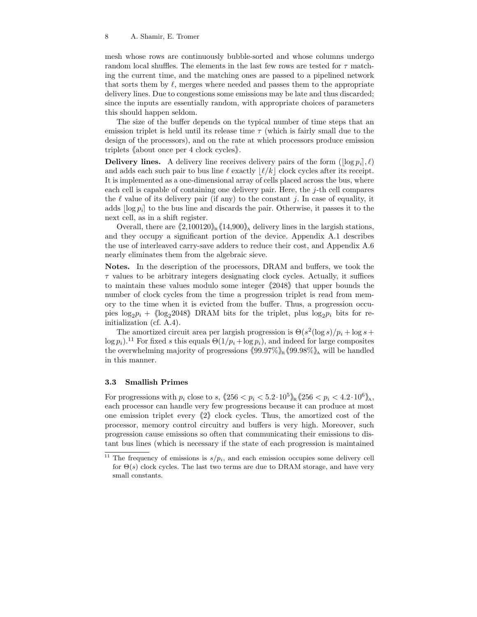mesh whose rows are continuously bubble-sorted and whose columns undergo random local shuffles. The elements in the last few rows are tested for  $\tau$  matching the current time, and the matching ones are passed to a pipelined network that sorts them by  $\ell$ , merges where needed and passes them to the appropriate delivery lines. Due to congestions some emissions may be late and thus discarded; since the inputs are essentially random, with appropriate choices of parameters this should happen seldom.

The size of the buffer depends on the typical number of time steps that an emission triplet is held until its release time  $\tau$  (which is fairly small due to the design of the processors), and on the rate at which processors produce emission triplets  $\&$  about once per 4 clock cycles.

**Delivery lines.** A delivery line receives delivery pairs of the form  $(\log p_i], \ell$ and adds each such pair to bus line  $\ell$  exactly  $|\ell/k|$  clock cycles after its receipt. It is implemented as a one-dimensional array of cells placed across the bus, where each cell is capable of containing one delivery pair. Here, the  $j$ -th cell compares the  $\ell$  value of its delivery pair (if any) to the constant j. In case of equality, it adds  $\log p_i$  to the bus line and discards the pair. Otherwise, it passes it to the next cell, as in a shift register.

Overall, there are  $\langle 2,100120\rangle_R \langle 14,900\rangle_A$  delivery lines in the largish stations, and they occupy a significant portion of the device. Appendix A.1 describes the use of interleaved carry-save adders to reduce their cost, and Appendix A.6 nearly eliminates them from the algebraic sieve.

Notes. In the description of the processors, DRAM and buffers, we took the  $\tau$  values to be arbitrary integers designating clock cycles. Actually, it suffices to maintain these values modulo some integer  $\langle 2048 \rangle$  that upper bounds the number of clock cycles from the time a progression triplet is read from memory to the time when it is evicted from the buffer. Thus, a progression occupies  $\log_2 p_i + \langle \log_2 2048 \rangle$  DRAM bits for the triplet, plus  $\log_2 p_i$  bits for reinitialization (cf. A.4).

The amortized circuit area per largish progression is  $\Theta(s^2(\log s)/p_i + \log s +$  $\log p_i$ ).<sup>11</sup> For fixed s this equals  $\Theta(1/p_i + \log p_i)$ , and indeed for large composites the overwhelming majority of progressions  $\langle 99.97\% \rangle_{\mathbb{R}} \langle 99.98\% \rangle_{\mathbb{A}}$  will be handled in this manner.

## 3.3 Smallish Primes

For progressions with  $p_i$  close to  $s$ ,  $(256 < p_i < 5.2 \cdot 10^5)$ <sub>R</sub> $(256 < p_i < 4.2 \cdot 10^6)$ <sub>A</sub>, each processor can handle very few progressions because it can produce at most one emission triplet every  $\langle 2 \rangle$  clock cycles. Thus, the amortized cost of the processor, memory control circuitry and buffers is very high. Moreover, such progression cause emissions so often that communicating their emissions to distant bus lines (which is necessary if the state of each progression is maintained

<sup>&</sup>lt;sup>11</sup> The frequency of emissions is  $s/p_i$ , and each emission occupies some delivery cell for  $\Theta(s)$  clock cycles. The last two terms are due to DRAM storage, and have very small constants.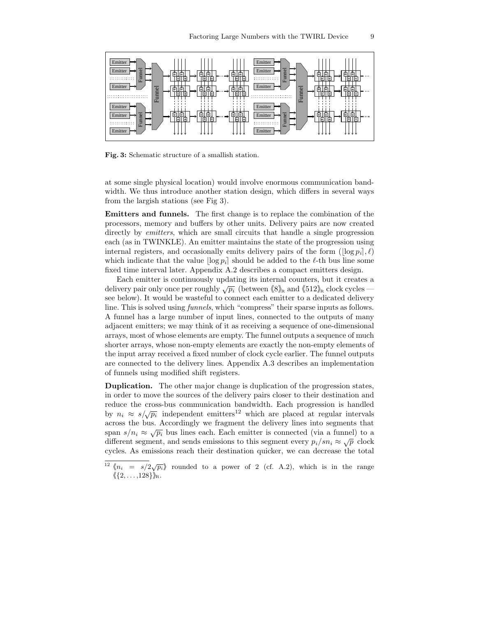

Fig. 3: Schematic structure of a smallish station.

at some single physical location) would involve enormous communication bandwidth. We thus introduce another station design, which differs in several ways from the largish stations (see Fig 3).

Emitters and funnels. The first change is to replace the combination of the processors, memory and buffers by other units. Delivery pairs are now created directly by *emitters*, which are small circuits that handle a single progression each (as in TWINKLE). An emitter maintains the state of the progression using internal registers, and occasionally emits delivery pairs of the form  $(\log p_i], \ell$ ) which indicate that the value  $\log p_i$  should be added to the  $\ell$ -th bus line some fixed time interval later. Appendix A.2 describes a compact emitters design.

Each emitter is continuously updating its internal counters, but it creates a delivery pair only once per roughly  $\sqrt{p_i}$  (between  $\langle 8 \rangle_{\text{R}}$  and  $\langle 512 \rangle_{\text{R}}$  clock cycles see below). It would be wasteful to connect each emitter to a dedicated delivery line. This is solved using funnels, which "compress" their sparse inputs as follows. A funnel has a large number of input lines, connected to the outputs of many adjacent emitters; we may think of it as receiving a sequence of one-dimensional arrays, most of whose elements are empty. The funnel outputs a sequence of much shorter arrays, whose non-empty elements are exactly the non-empty elements of the input array received a fixed number of clock cycle earlier. The funnel outputs are connected to the delivery lines. Appendix A.3 describes an implementation of funnels using modified shift registers.

Duplication. The other major change is duplication of the progression states, in order to move the sources of the delivery pairs closer to their destination and reduce the cross-bus communication bandwidth. Each progression is handled by  $n_i \approx s/\sqrt{p_i}$  independent emitters<sup>12</sup> which are placed at regular intervals across the bus. Accordingly we fragment the delivery lines into segments that span  $s/n_i \approx \sqrt{p_i}$  bus lines each. Each emitter is connected (via a funnel) to a different segment, and sends emissions to this segment every  $p_i/sn_i \approx \sqrt{p}$  clock cycles. As emissions reach their destination quicker, we can decrease the total

<sup>&</sup>lt;sup>12</sup>  $\langle n_i = s/2\sqrt{p_i} \rangle$  rounded to a power of 2 (cf. A.2), which is in the range  $\langle \{2, \ldots, 128\}\rangle_{\!\!R}$ .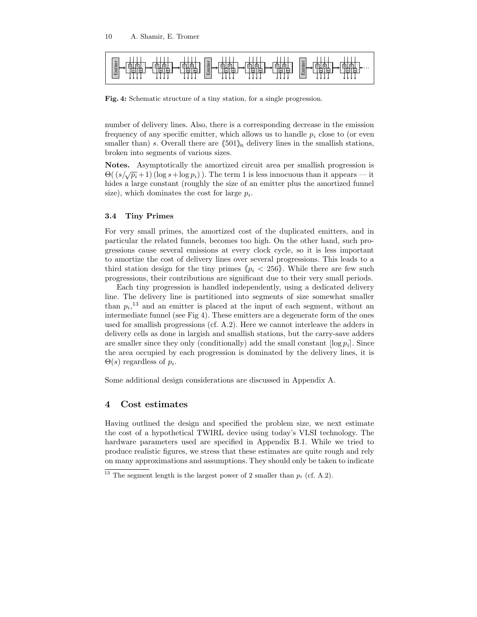

Fig. 4: Schematic structure of a tiny station, for a single progression.

number of delivery lines. Also, there is a corresponding decrease in the emission frequency of any specific emitter, which allows us to handle  $p_i$  close to (or even smaller than) s. Overall there are  $\langle 501 \rangle_{\text{R}}$  delivery lines in the smallish stations, broken into segments of various sizes.

Notes. Asymptotically the amortized circuit area per smallish progression is  $\Theta((s/\sqrt{p_i}+1)(\log s+\log p_i))$ . The term 1 is less innocuous than it appears — it hides a large constant (roughly the size of an emitter plus the amortized funnel size), which dominates the cost for large  $p_i$ .

## 3.4 Tiny Primes

For very small primes, the amortized cost of the duplicated emitters, and in particular the related funnels, becomes too high. On the other hand, such progressions cause several emissions at every clock cycle, so it is less important to amortize the cost of delivery lines over several progressions. This leads to a third station design for the tiny primes  $\langle p_i \rangle$  < 256. While there are few such progressions, their contributions are significant due to their very small periods.

Each tiny progression is handled independently, using a dedicated delivery line. The delivery line is partitioned into segments of size somewhat smaller than  $p_i$ ,<sup>13</sup> and an emitter is placed at the input of each segment, without an intermediate funnel (see Fig 4). These emitters are a degenerate form of the ones used for smallish progressions (cf. A.2). Here we cannot interleave the adders in delivery cells as done in largish and smallish stations, but the carry-save adders are smaller since they only (conditionally) add the small constant  $\log p_i$ . Since the area occupied by each progression is dominated by the delivery lines, it is  $\Theta(s)$  regardless of  $p_i$ .

Some additional design considerations are discussed in Appendix A.

# 4 Cost estimates

Having outlined the design and specified the problem size, we next estimate the cost of a hypothetical TWIRL device using today's VLSI technology. The hardware parameters used are specified in Appendix B.1. While we tried to produce realistic figures, we stress that these estimates are quite rough and rely on many approximations and assumptions. They should only be taken to indicate

<sup>&</sup>lt;sup>13</sup> The segment length is the largest power of 2 smaller than  $p_i$  (cf. A.2).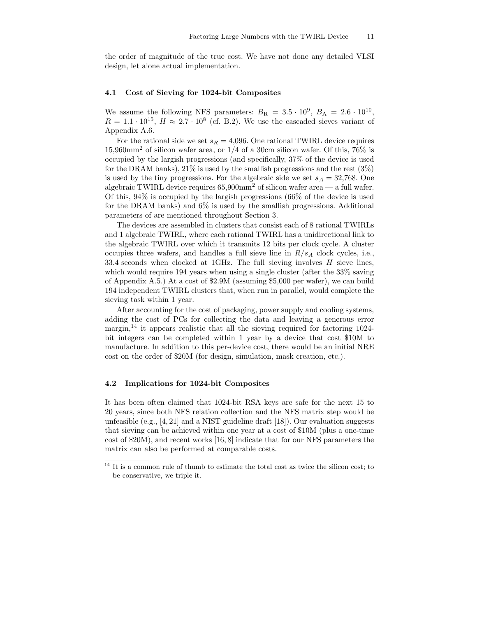the order of magnitude of the true cost. We have not done any detailed VLSI design, let alone actual implementation.

#### 4.1 Cost of Sieving for 1024-bit Composites

We assume the following NFS parameters:  $B_R = 3.5 \cdot 10^9$ ,  $B_A = 2.6 \cdot 10^{10}$ ,  $R = 1.1 \cdot 10^{15}$ ,  $H \approx 2.7 \cdot 10^8$  (cf. B.2). We use the cascaded sieves variant of Appendix A.6.

For the rational side we set  $s_R = 4,096$ . One rational TWIRL device requires 15,960mm<sup>2</sup> of silicon wafer area, or 1/4 of a 30cm silicon wafer. Of this, 76% is occupied by the largish progressions (and specifically, 37% of the device is used for the DRAM banks),  $21\%$  is used by the smallish progressions and the rest  $(3\%)$ is used by the tiny progressions. For the algebraic side we set  $s_A = 32,768$ . One algebraic TWIRL device requires  $65{,}900$ mm<sup>2</sup> of silicon wafer area — a full wafer. Of this, 94% is occupied by the largish progressions (66% of the device is used for the DRAM banks) and 6% is used by the smallish progressions. Additional parameters of are mentioned throughout Section 3.

The devices are assembled in clusters that consist each of 8 rational TWIRLs and 1 algebraic TWIRL, where each rational TWIRL has a unidirectional link to the algebraic TWIRL over which it transmits 12 bits per clock cycle. A cluster occupies three wafers, and handles a full sieve line in  $R/s_A$  clock cycles, i.e., 33.4 seconds when clocked at 1GHz. The full sieving involves H sieve lines, which would require 194 years when using a single cluster (after the  $33\%$  saving of Appendix A.5.) At a cost of \$2.9M (assuming \$5,000 per wafer), we can build 194 independent TWIRL clusters that, when run in parallel, would complete the sieving task within 1 year.

After accounting for the cost of packaging, power supply and cooling systems, adding the cost of PCs for collecting the data and leaving a generous error margin,<sup>14</sup> it appears realistic that all the sieving required for factoring  $1024$ bit integers can be completed within 1 year by a device that cost \$10M to manufacture. In addition to this per-device cost, there would be an initial NRE cost on the order of \$20M (for design, simulation, mask creation, etc.).

# 4.2 Implications for 1024-bit Composites

It has been often claimed that 1024-bit RSA keys are safe for the next 15 to 20 years, since both NFS relation collection and the NFS matrix step would be unfeasible (e.g.,  $[4, 21]$  and a NIST guideline draft  $[18]$ ). Our evaluation suggests that sieving can be achieved within one year at a cost of \$10M (plus a one-time cost of \$20M), and recent works [16, 8] indicate that for our NFS parameters the matrix can also be performed at comparable costs.

 $14$  It is a common rule of thumb to estimate the total cost as twice the silicon cost; to be conservative, we triple it.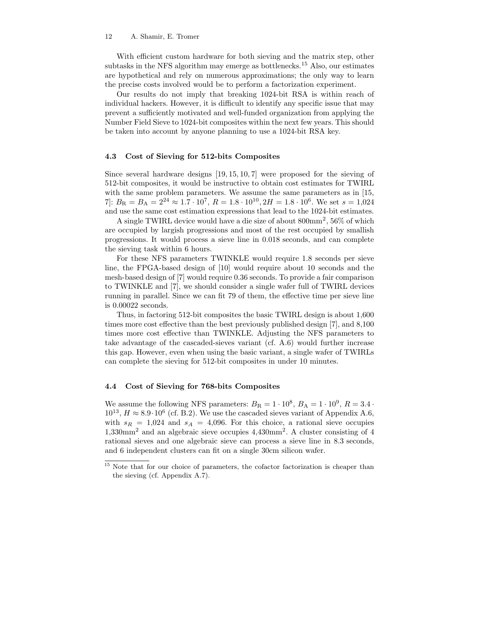With efficient custom hardware for both sieving and the matrix step, other subtasks in the NFS algorithm may emerge as bottlenecks.<sup>15</sup> Also, our estimates are hypothetical and rely on numerous approximations; the only way to learn the precise costs involved would be to perform a factorization experiment.

Our results do not imply that breaking 1024-bit RSA is within reach of individual hackers. However, it is difficult to identify any specific issue that may prevent a sufficiently motivated and well-funded organization from applying the Number Field Sieve to 1024-bit composites within the next few years. This should be taken into account by anyone planning to use a 1024-bit RSA key.

#### 4.3 Cost of Sieving for 512-bits Composites

Since several hardware designs [19, 15, 10, 7] were proposed for the sieving of 512-bit composites, it would be instructive to obtain cost estimates for TWIRL with the same problem parameters. We assume the same parameters as in [15, 7]:  $B_{\rm R} = B_{\rm A} = 2^{24} \approx 1.7 \cdot 10^7$ ,  $R = 1.8 \cdot 10^{10}$ ,  $2H = 1.8 \cdot 10^6$ . We set  $s = 1,024$ and use the same cost estimation expressions that lead to the 1024-bit estimates.

A single TWIRL device would have a die size of about  $800 \text{mm}^2$ ,  $56\%$  of which are occupied by largish progressions and most of the rest occupied by smallish progressions. It would process a sieve line in 0.018 seconds, and can complete the sieving task within 6 hours.

For these NFS parameters TWINKLE would require 1.8 seconds per sieve line, the FPGA-based design of [10] would require about 10 seconds and the mesh-based design of [7] would require 0.36 seconds. To provide a fair comparison to TWINKLE and [7], we should consider a single wafer full of TWIRL devices running in parallel. Since we can fit 79 of them, the effective time per sieve line is 0.00022 seconds.

Thus, in factoring 512-bit composites the basic TWIRL design is about 1,600 times more cost effective than the best previously published design [7], and 8,100 times more cost effective than TWINKLE. Adjusting the NFS parameters to take advantage of the cascaded-sieves variant (cf. A.6) would further increase this gap. However, even when using the basic variant, a single wafer of TWIRLs can complete the sieving for 512-bit composites in under 10 minutes.

## 4.4 Cost of Sieving for 768-bits Composites

We assume the following NFS parameters:  $B_R = 1 \cdot 10^8$ ,  $B_A = 1 \cdot 10^9$ ,  $R = 3.4 \cdot 10^9$  $10^{13}$ ,  $H \approx 8.9 \cdot 10^6$  (cf. B.2). We use the cascaded sieves variant of Appendix A.6, with  $s_R = 1,024$  and  $s_A = 4,096$ . For this choice, a rational sieve occupies 1,330mm<sup>2</sup> and an algebraic sieve occupies 4,430mm<sup>2</sup> . A cluster consisting of 4 rational sieves and one algebraic sieve can process a sieve line in 8.3 seconds, and 6 independent clusters can fit on a single 30cm silicon wafer.

<sup>&</sup>lt;sup>15</sup> Note that for our choice of parameters, the cofactor factorization is cheaper than the sieving (cf. Appendix A.7).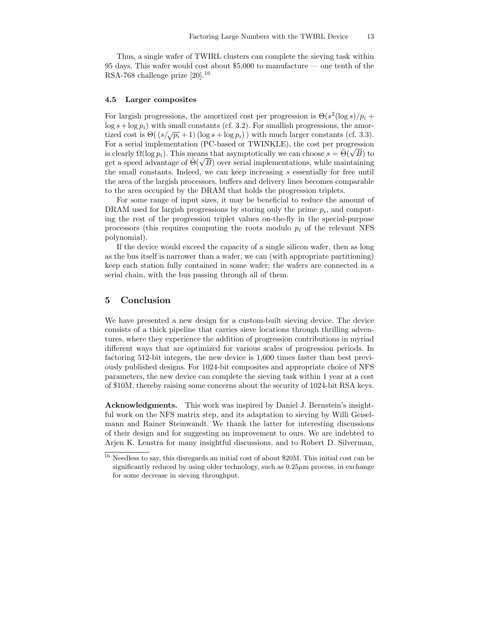Thus, a single wafer of TWIRL clusters can complete the sieving task within 95 days. This wafer would cost about \$5,000 to manufacture — one tenth of the RSA-768 challenge prize [20].<sup>16</sup>

#### 4.5 Larger composites

For largish progressions, the amortized cost per progression is  $\Theta(s^2(\log s)/p_i +$  $\log s + \log p_i$ ) with small constants (cf. 3.2). For smallish progressions, the amortized cost is  $\Theta\left(\frac{s}{\sqrt{p_i}+1}\right)(\log s + \log p_i)$  with much larger constants (cf. 3.3). For a serial implementation (PC-based or TWINKLE), the cost per progression is clearly  $\Omega(\log p_i)$ . This means that asymptotically we can choose  $s = \tilde{\Theta}(\sqrt{B})$  to get a speed advantage of  $\tilde{\Theta}(\sqrt{B})$  over serial implementations, while maintaining the small constants. Indeed, we can keep increasing s essentially for free until the area of the largish processors, buffers and delivery lines becomes comparable to the area occupied by the DRAM that holds the progression triplets.

For some range of input sizes, it may be beneficial to reduce the amount of DRAM used for largish progressions by storing only the prime  $p_i$ , and computing the rest of the progression triplet values on-the-fly in the special-purpose processors (this requires computing the roots modulo  $p_i$  of the relevant NFS polynomial).

If the device would exceed the capacity of a single silicon wafer, then as long as the bus itself is narrower than a wafer, we can (with appropriate partitioning) keep each station fully contained in some wafer; the wafers are connected in a serial chain, with the bus passing through all of them.

# 5 Conclusion

We have presented a new design for a custom-built sieving device. The device consists of a thick pipeline that carries sieve locations through thrilling adventures, where they experience the addition of progression contributions in myriad different ways that are optimized for various scales of progression periods. In factoring 512-bit integers, the new device is 1,600 times faster than best previously published designs. For 1024-bit composites and appropriate choice of NFS parameters, the new device can complete the sieving task within 1 year at a cost of \$10M, thereby raising some concerns about the security of 1024-bit RSA keys.

Acknowledgments. This work was inspired by Daniel J. Bernstein's insightful work on the NFS matrix step, and its adaptation to sieving by Willi Geiselmann and Rainer Steinwandt. We thank the latter for interesting discussions of their design and for suggesting an improvement to ours. We are indebted to Arjen K. Lenstra for many insightful discussions, and to Robert D. Silverman,

 $16$  Needless to say, this disregards an initial cost of about \$20M. This initial cost can be significantly reduced by using older technology, such as  $0.25\mu$ m process, in exchange for some decrease in sieving throughput.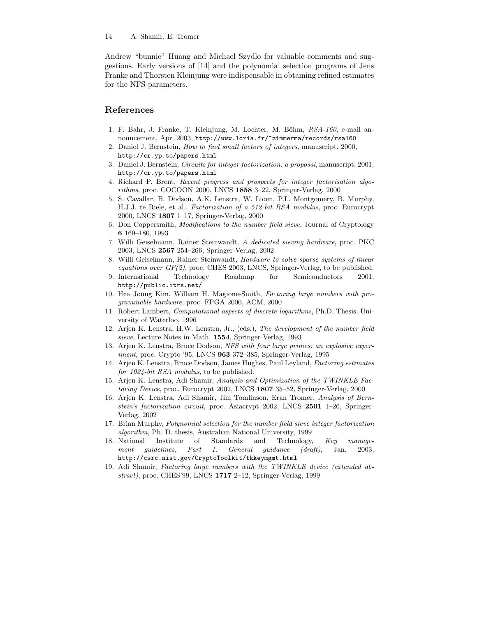Andrew "bunnie" Huang and Michael Szydlo for valuable comments and suggestions. Early versions of [14] and the polynomial selection programs of Jens Franke and Thorsten Kleinjung were indispensable in obtaining refined estimates for the NFS parameters.

# References

- 1. F. Bahr, J. Franke, T. Kleinjung, M. Lochter, M. Böhm,  $RSA-160$ , e-mail announcement, Apr. 2003, http://www.loria.fr/~zimmerma/records/rsa160
- 2. Daniel J. Bernstein, How to find small factors of integers, manuscript, 2000, http://cr.yp.to/papers.html
- 3. Daniel J. Bernstein, Circuits for integer factorization: a proposal, manuscript, 2001, http://cr.yp.to/papers.html
- 4. Richard P. Brent, Recent progress and prospects for integer factorisation algorithms, proc. COCOON 2000, LNCS 1858 3–22, Springer-Verlag, 2000
- 5. S. Cavallar, B. Dodson, A.K. Lenstra, W. Lioen, P.L. Montgomery, B. Murphy, H.J.J. te Riele, et al., Factorization of a 512-bit RSA modulus, proc. Eurocrypt 2000, LNCS 1807 1–17, Springer-Verlag, 2000
- 6. Don Coppersmith, Modifications to the number field sieve, Journal of Cryptology 6 169–180, 1993
- 7. Willi Geiselmann, Rainer Steinwandt, A dedicated sieving hardware, proc. PKC 2003, LNCS 2567 254–266, Springer-Verlag, 2002
- 8. Willi Geiselmann, Rainer Steinwandt, Hardware to solve sparse systems of linear equations over  $GF(2)$ , proc. CHES 2003, LNCS, Springer-Verlag, to be published.
- 9. International Technology Roadmap for Semiconductors 2001, http://public.itrs.net/
- 10. Hea Joung Kim, William H. Magione-Smith, Factoring large numbers with programmable hardware, proc. FPGA 2000, ACM, 2000
- 11. Robert Lambert, Computational aspects of discrete logarithms, Ph.D. Thesis, University of Waterloo, 1996
- 12. Arjen K. Lenstra, H.W. Lenstra, Jr., (eds.), The development of the number field sieve, Lecture Notes in Math. 1554, Springer-Verlag, 1993
- 13. Arjen K. Lenstra, Bruce Dodson, NFS with four large primes: an explosive experiment, proc. Crypto '95, LNCS 963 372–385, Springer-Verlag, 1995
- 14. Arjen K. Lenstra, Bruce Dodson, James Hughes, Paul Leyland, Factoring estimates for 1024-bit RSA modulus, to be published.
- 15. Arjen K. Lenstra, Adi Shamir, Analysis and Optimization of the TWINKLE Factoring Device, proc. Eurocrypt 2002, LNCS 1807 35–52, Springer-Verlag, 2000
- 16. Arjen K. Lenstra, Adi Shamir, Jim Tomlinson, Eran Tromer, Analysis of Bernstein's factorization circuit, proc. Asiacrypt 2002, LNCS 2501 1–26, Springer-Verlag, 2002
- 17. Brian Murphy, Polynomial selection for the number field sieve integer factorization algorithm, Ph. D. thesis, Australian National University, 1999
- 18. National Institute of Standards and Technology, Key management guidelines, Part 1: General guidance (draft), Jan. 2003, http://csrc.nist.gov/CryptoToolkit/tkkeymgmt.html
- 19. Adi Shamir, Factoring large numbers with the TWINKLE device (extended abstract), proc. CHES'99, LNCS 1717 2–12, Springer-Verlag, 1999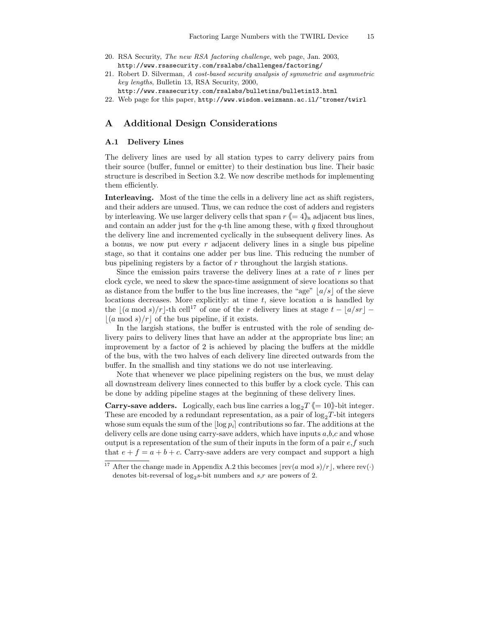- 20. RSA Security, The new RSA factoring challenge, web page, Jan. 2003, http://www.rsasecurity.com/rsalabs/challenges/factoring/
- 21. Robert D. Silverman, A cost-based security analysis of symmetric and asymmetric key lengths, Bulletin 13, RSA Security, 2000,
- http://www.rsasecurity.com/rsalabs/bulletins/bulletin13.html 22. Web page for this paper, http://www.wisdom.weizmann.ac.il/~tromer/twirl

# A Additional Design Considerations

## A.1 Delivery Lines

The delivery lines are used by all station types to carry delivery pairs from their source (buffer, funnel or emitter) to their destination bus line. Their basic structure is described in Section 3.2. We now describe methods for implementing them efficiently.

Interleaving. Most of the time the cells in a delivery line act as shift registers, and their adders are unused. Thus, we can reduce the cost of adders and registers by interleaving. We use larger delivery cells that span  $r \leq 4$ <sub>i</sub> adjacent bus lines, and contain an adder just for the  $q$ -th line among these, with  $q$  fixed throughout the delivery line and incremented cyclically in the subsequent delivery lines. As a bonus, we now put every  $r$  adjacent delivery lines in a single bus pipeline stage, so that it contains one adder per bus line. This reducing the number of bus pipelining registers by a factor of  $r$  throughout the largish stations.

Since the emission pairs traverse the delivery lines at a rate of  $r$  lines per clock cycle, we need to skew the space-time assignment of sieve locations so that as distance from the buffer to the bus line increases, the "age"  $|a/s|$  of the sieve locations decreases. More explicitly: at time  $t$ , sieve location  $a$  is handled by the  $(a \mod s)/r$ -th cell<sup>17</sup> of one of the r delivery lines at stage  $t - |a/sr|$  −  $(a \mod s)/r$  of the bus pipeline, if it exists.

In the largish stations, the buffer is entrusted with the role of sending delivery pairs to delivery lines that have an adder at the appropriate bus line; an improvement by a factor of 2 is achieved by placing the buffers at the middle of the bus, with the two halves of each delivery line directed outwards from the buffer. In the smallish and tiny stations we do not use interleaving.

Note that whenever we place pipelining registers on the bus, we must delay all downstream delivery lines connected to this buffer by a clock cycle. This can be done by adding pipeline stages at the beginning of these delivery lines.

**Carry-save adders.** Logically, each bus line carries a  $\log_2 T \leq 10$ )-bit integer. These are encoded by a redundant representation, as a pair of  $log_2T$ -bit integers whose sum equals the sum of the  $\log p_i$  contributions so far. The additions at the delivery cells are done using carry-save adders, which have inputs  $a, b, c$  and whose output is a representation of the sum of their inputs in the form of a pair  $e, f$  such that  $e + f = a + b + c$ . Carry-save adders are very compact and support a high

<sup>&</sup>lt;sup>17</sup> After the change made in Appendix A.2 this becomes  $\lfloor \text{rev}(a \bmod s)/r \rfloor$ , where  $\text{rev}(\cdot)$ denotes bit-reversal of  $log_2 s$ -bit numbers and  $s,r$  are powers of 2.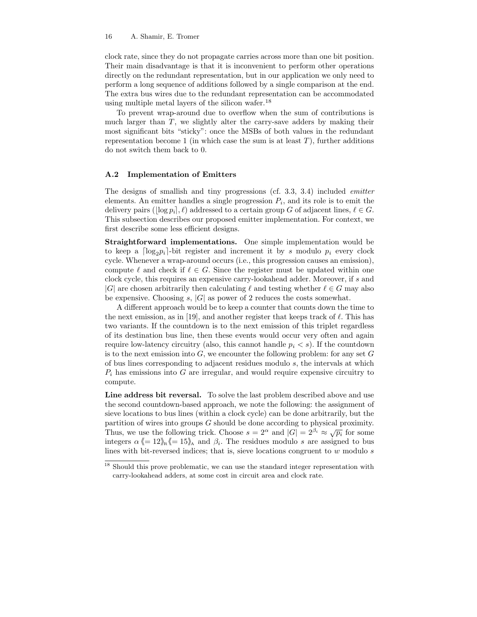clock rate, since they do not propagate carries across more than one bit position. Their main disadvantage is that it is inconvenient to perform other operations directly on the redundant representation, but in our application we only need to perform a long sequence of additions followed by a single comparison at the end. The extra bus wires due to the redundant representation can be accommodated using multiple metal layers of the silicon wafer.<sup>18</sup>

To prevent wrap-around due to overflow when the sum of contributions is much larger than  $T$ , we slightly alter the carry-save adders by making their most significant bits "sticky": once the MSBs of both values in the redundant representation become 1 (in which case the sum is at least  $T$ ), further additions do not switch them back to 0.

## A.2 Implementation of Emitters

The designs of smallish and tiny progressions (cf. 3.3, 3.4) included emitter elements. An emitter handles a single progression  $P_i$ , and its role is to emit the delivery pairs ( $\log p_i$ ,  $\ell$ ) addressed to a certain group G of adjacent lines,  $\ell \in G$ . This subsection describes our proposed emitter implementation. For context, we first describe some less efficient designs.

Straightforward implementations. One simple implementation would be to keep a  $\lceil \log_2 p_i \rceil$ -bit register and increment it by s modulo  $p_i$  every clock cycle. Whenever a wrap-around occurs (i.e., this progression causes an emission), compute  $\ell$  and check if  $\ell \in G$ . Since the register must be updated within one clock cycle, this requires an expensive carry-lookahead adder. Moreover, if s and |G| are chosen arbitrarily then calculating  $\ell$  and testing whether  $\ell \in G$  may also be expensive. Choosing s,  $|G|$  as power of 2 reduces the costs somewhat.

A different approach would be to keep a counter that counts down the time to the next emission, as in [19], and another register that keeps track of  $\ell$ . This has two variants. If the countdown is to the next emission of this triplet regardless of its destination bus line, then these events would occur very often and again require low-latency circuitry (also, this cannot handle  $p_i < s$ ). If the countdown is to the next emission into  $G$ , we encounter the following problem: for any set  $G$ of bus lines corresponding to adjacent residues modulo s, the intervals at which  $P_i$  has emissions into G are irregular, and would require expensive circuitry to compute.

Line address bit reversal. To solve the last problem described above and use the second countdown-based approach, we note the following: the assignment of sieve locations to bus lines (within a clock cycle) can be done arbitrarily, but the partition of wires into groups G should be done according to physical proximity. Thus, we use the following trick. Choose  $s = 2^{\alpha}$  and  $|G| = 2^{\beta_i} \approx \sqrt{p_i}$  for some integers  $\alpha \langle 12 \rangle_{\text{R}} \langle 15 \rangle_{\text{A}}$  and  $\beta_i$ . The residues modulo s are assigned to bus lines with bit-reversed indices; that is, sieve locations congruent to  $w$  modulo  $s$ 

 $^{18}$  Should this prove problematic, we can use the standard integer representation with carry-lookahead adders, at some cost in circuit area and clock rate.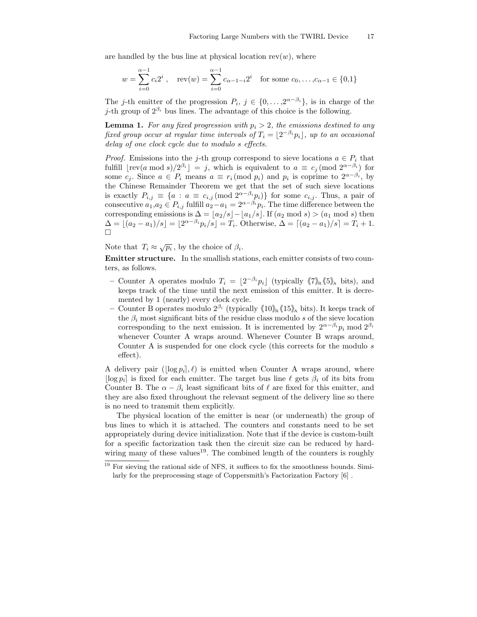are handled by the bus line at physical location  $rev(w)$ , where

$$
w = \sum_{i=0}^{\alpha-1} c_i 2^i
$$
, rev $(w) = \sum_{i=0}^{\alpha-1} c_{\alpha-1-i} 2^i$  for some  $c_0, ..., c_{\alpha-1} \in \{0,1\}$ 

The j-th emitter of the progression  $P_i, j \in \{0, \ldots, 2^{\alpha-\beta_i}\},$  is in charge of the j-th group of  $2^{\beta_i}$  bus lines. The advantage of this choice is the following.

**Lemma 1.** For any fixed progression with  $p_i > 2$ , the emissions destined to any fixed group occur at regular time intervals of  $T_i = \lfloor 2^{-\beta_i} p_i \rfloor$ , up to an occasional delay of one clock cycle due to modulo s effects.

*Proof.* Emissions into the j-th group correspond to sieve locations  $a \in P_i$  that fulfill  $\lfloor \text{rev}(a \mod s)/2^{\beta_i} \rfloor = j$ , which is equivalent to  $a \equiv c_j \pmod{2^{\alpha-\beta_i}}$  for some  $c_j$ . Since  $a \in P_i$  means  $a \equiv r_i \pmod{p_i}$  and  $p_i$  is coprime to  $2^{\alpha-\beta_i}$ , by the Chinese Remainder Theorem we get that the set of such sieve locations is exactly  $P_{i,j} \equiv \{a : a \equiv c_{i,j} \pmod{2^{\alpha-\beta_i}p_i}\}$  for some  $c_{i,j}$ . Thus, a pair of consecutive  $a_1, a_2 \in P_{i,j}$  fulfill  $a_2 - a_1 = 2^{\alpha - \beta_i} p_i$ . The time difference between the corresponding emissions is  $\Delta = \lfloor a_2/s \rfloor - \lfloor a_1/s \rfloor$ . If  $(a_2 \mod s) > (a_1 \mod s)$  then  $\Delta = \lfloor (a_2 - a_1)/s \rfloor = \lfloor 2^{\alpha - \beta_i} p_i/s \rfloor = T_i$ . Otherwise,  $\Delta = \lceil (a_2 - a_1)/s \rceil = T_i + 1$ . ¤

Note that  $T_i \approx \sqrt{p_i}$ , by the choice of  $\beta_i$ .

Emitter structure. In the smallish stations, each emitter consists of two counters, as follows.

- − Counter A operates modulo  $T_i = \lfloor 2^{-\beta_i} p_i \rfloor$  (typically  $\langle 7 \rangle_{R} \langle 5 \rangle_{A}$  bits), and keeps track of the time until the next emission of this emitter. It is decremented by 1 (nearly) every clock cycle.
- Counter B operates modulo  $2^{\beta_i}$  (typically  $\langle 10 \rangle_{\mathsf{R}} \langle 15 \rangle_{\mathsf{A}}$  bits). It keeps track of the  $\beta_i$  most significant bits of the residue class modulo s of the sieve location corresponding to the next emission. It is incremented by  $2^{\alpha-\beta_i}p_i \mod 2^{\beta_i}$ whenever Counter A wraps around. Whenever Counter B wraps around, Counter A is suspended for one clock cycle (this corrects for the modulo s effect).

A delivery pair  $(\log p_i], \ell$  is emitted when Counter A wraps around, where  $\lfloor \log p_i \rfloor$  is fixed for each emitter. The target bus line  $\ell$  gets  $\beta_i$  of its bits from Counter B. The  $\alpha - \beta_i$  least significant bits of  $\ell$  are fixed for this emitter, and they are also fixed throughout the relevant segment of the delivery line so there is no need to transmit them explicitly.

The physical location of the emitter is near (or underneath) the group of bus lines to which it is attached. The counters and constants need to be set appropriately during device initialization. Note that if the device is custom-built for a specific factorization task then the circuit size can be reduced by hardwiring many of these values<sup>19</sup>. The combined length of the counters is roughly

<sup>&</sup>lt;sup>19</sup> For sieving the rational side of NFS, it suffices to fix the smoothness bounds. Similarly for the preprocessing stage of Coppersmith's Factorization Factory [6] .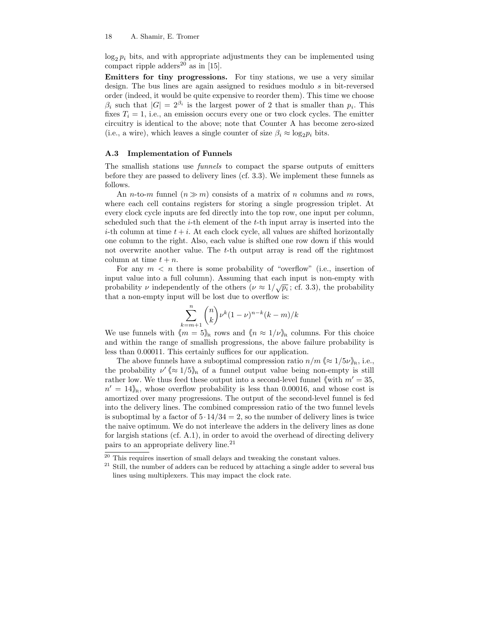$\log_2 p_i$  bits, and with appropriate adjustments they can be implemented using compact ripple adders<sup>20</sup> as in [15].

Emitters for tiny progressions. For tiny stations, we use a very similar design. The bus lines are again assigned to residues modulo s in bit-reversed order (indeed, it would be quite expensive to reorder them). This time we choose  $\beta_i$  such that  $|G| = 2^{\beta_i}$  is the largest power of 2 that is smaller than  $p_i$ . This fixes  $T_i = 1$ , i.e., an emission occurs every one or two clock cycles. The emitter circuitry is identical to the above; note that Counter A has become zero-sized (i.e., a wire), which leaves a single counter of size  $\beta_i \approx \log_2 p_i$  bits.

## A.3 Implementation of Funnels

The smallish stations use funnels to compact the sparse outputs of emitters before they are passed to delivery lines (cf. 3.3). We implement these funnels as follows.

An *n*-to-*m* funnel  $(n \gg m)$  consists of a matrix of *n* columns and *m* rows, where each cell contains registers for storing a single progression triplet. At every clock cycle inputs are fed directly into the top row, one input per column, scheduled such that the  $i$ -th element of the  $t$ -th input array is inserted into the *i*-th column at time  $t + i$ . At each clock cycle, all values are shifted horizontally one column to the right. Also, each value is shifted one row down if this would not overwrite another value. The  $t$ -th output array is read off the rightmost column at time  $t + n$ .

For any  $m < n$  there is some probability of "overflow" (i.e., insertion of input value into a full column). Assuming that each input is non-empty with probability  $\nu$  independently of the others  $(\nu \approx 1/\sqrt{p_i}; \text{ cf. 3.3})$ , the probability that a non-empty input will be lost due to overflow is:

$$
\sum_{k=m+1}^{n} \binom{n}{k} \nu^{k} (1-\nu)^{n-k} (k-m)/k
$$

We use funnels with  $\langle m = 5 \rangle_R$  rows and  $\langle n \approx 1/\nu \rangle_R$  columns. For this choice and within the range of smallish progressions, the above failure probability is less than 0.00011. This certainly suffices for our application.

The above funnels have a suboptimal compression ratio  $n/m \ll 1/5\nu_{\rm R}$ , i.e., the probability  $\nu' \ll 1/5$ <sub>R</sub> of a funnel output value being non-empty is still rather low. We thus feed these output into a second-level funnel  $\langle \text{with } m' = 35, \rangle$  $n' = 14$ <sub>/k</sub>, whose overflow probability is less than 0.00016, and whose cost is amortized over many progressions. The output of the second-level funnel is fed into the delivery lines. The combined compression ratio of the two funnel levels is suboptimal by a factor of  $5.14/34 = 2$ , so the number of delivery lines is twice the naive optimum. We do not interleave the adders in the delivery lines as done for largish stations (cf. A.1), in order to avoid the overhead of directing delivery pairs to an appropriate delivery line.<sup>21</sup>

 $20$  This requires insertion of small delays and tweaking the constant values.

 $21$  Still, the number of adders can be reduced by attaching a single adder to several bus lines using multiplexers. This may impact the clock rate.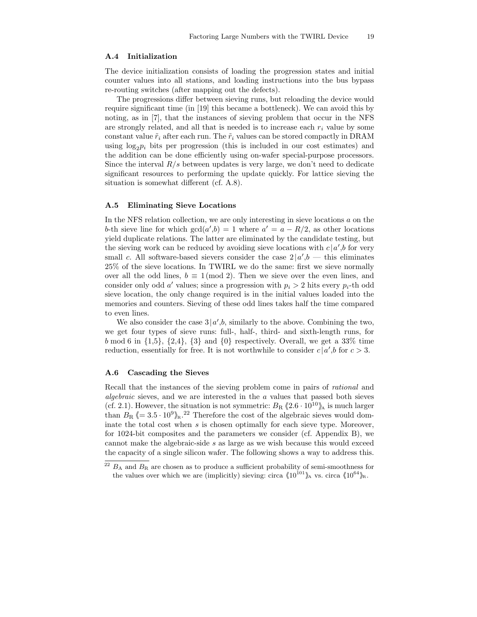#### A.4 Initialization

The device initialization consists of loading the progression states and initial counter values into all stations, and loading instructions into the bus bypass re-routing switches (after mapping out the defects).

The progressions differ between sieving runs, but reloading the device would require significant time (in [19] this became a bottleneck). We can avoid this by noting, as in [7], that the instances of sieving problem that occur in the NFS are strongly related, and all that is needed is to increase each  $r_i$  value by some constant value  $\tilde{r}_i$  after each run. The  $\tilde{r}_i$  values can be stored compactly in DRAM using  $\log_2 p_i$  bits per progression (this is included in our cost estimates) and the addition can be done efficiently using on-wafer special-purpose processors. Since the interval  $R/s$  between updates is very large, we don't need to dedicate significant resources to performing the update quickly. For lattice sieving the situation is somewhat different (cf. A.8).

## A.5 Eliminating Sieve Locations

In the NFS relation collection, we are only interesting in sieve locations  $a$  on the b-th sieve line for which  $gcd(a', b) = 1$  where  $a' = a - R/2$ , as other locations yield duplicate relations. The latter are eliminated by the candidate testing, but the sieving work can be reduced by avoiding sieve locations with  $c | a'$ , b for very small c. All software-based sievers consider the case  $2|a',b|$  this eliminates 25% of the sieve locations. In TWIRL we do the same: first we sieve normally over all the odd lines,  $b \equiv 1 \pmod{2}$ . Then we sieve over the even lines, and consider only odd a' values; since a progression with  $p_i > 2$  hits every  $p_i$ -th odd sieve location, the only change required is in the initial values loaded into the memories and counters. Sieving of these odd lines takes half the time compared to even lines.

We also consider the case  $3|a',b$ , similarly to the above. Combining the two, we get four types of sieve runs: full-, half-, third- and sixth-length runs, for b mod 6 in  $\{1,5\}$ ,  $\{2,4\}$ ,  $\{3\}$  and  $\{0\}$  respectively. Overall, we get a 33% time reduction, essentially for free. It is not worthwhile to consider  $c | a', b$  for  $c > 3$ .

## A.6 Cascading the Sieves

Recall that the instances of the sieving problem come in pairs of rational and algebraic sieves, and we are interested in the a values that passed both sieves (cf. 2.1). However, the situation is not symmetric:  $B_R \langle 2.6 \cdot 10^{10} \rangle$  is much larger than  $B_{\rm R} \langle = 3.5 \cdot 10^9 \rangle_{\rm R}$ .<sup>22</sup> Therefore the cost of the algebraic sieves would dominate the total cost when  $s$  is chosen optimally for each sieve type. Moreover, for 1024-bit composites and the parameters we consider (cf. Appendix B), we cannot make the algebraic-side s as large as we wish because this would exceed the capacity of a single silicon wafer. The following shows a way to address this.

 $^{22}$   $B_A$  and  $B_R$  are chosen as to produce a sufficient probability of semi-smoothness for the values over which we are (implicitly) sieving: circa  $\langle 10^{101} \rangle$ <sub>A</sub> vs. circa  $\langle 10^{64} \rangle$ <sub>R</sub>.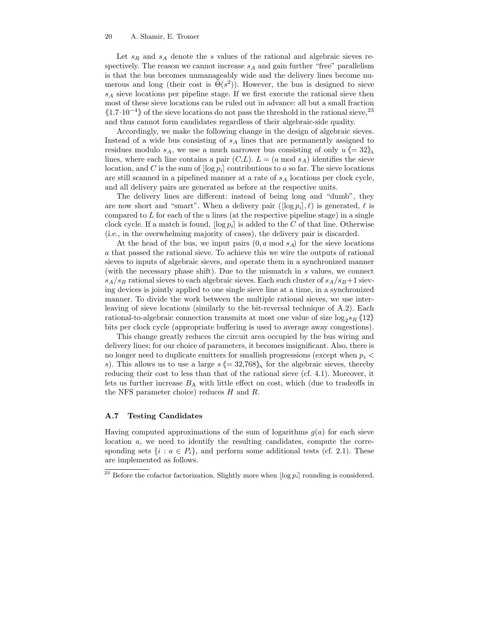Let  $s_R$  and  $s_A$  denote the s values of the rational and algebraic sieves respectively. The reason we cannot increase  $s_A$  and gain further "free" parallelism is that the bus becomes unmanageably wide and the delivery lines become numerous and long (their cost is  $\tilde{\Theta}(s^2)$ ). However, the bus is designed to sieve  $s_A$  sieve locations per pipeline stage. If we first execute the rational sieve then most of these sieve locations can be ruled out in advance: all but a small fraction  $\langle 1.7 \cdot 10^{-4} \rangle$  of the sieve locations do not pass the threshold in the rational sieve,<sup>23</sup> and thus cannot form candidates regardless of their algebraic-side quality.

Accordingly, we make the following change in the design of algebraic sieves. Instead of a wide bus consisting of  $s_A$  lines that are permanently assigned to residues modulo  $s_A$ , we use a much narrower bus consisting of only  $u \leq 32$ <sup>i</sup> lines, where each line contains a pair  $(C, L)$ .  $L = (a \mod s_A)$  identifies the sieve location, and C is the sum of  $\log p_i$  contributions to a so far. The sieve locations are still scanned in a pipelined manner at a rate of  $s_A$  locations per clock cycle, and all delivery pairs are generated as before at the respective units.

The delivery lines are different: instead of being long and "dumb", they are now short and "smart". When a delivery pair  $(\log p_i], \ell$ ) is generated,  $\ell$  is compared to  $L$  for each of the  $u$  lines (at the respective pipeline stage) in a single clock cycle. If a match is found,  $\log p_i$  is added to the C of that line. Otherwise (i.e., in the overwhelming majority of cases), the delivery pair is discarded.

At the head of the bus, we input pairs  $(0, a \mod s_A)$  for the sieve locations a that passed the rational sieve. To achieve this we wire the outputs of rational sieves to inputs of algebraic sieves, and operate them in a synchronized manner (with the necessary phase shift). Due to the mismatch in  $s$  values, we connect  $s_A/s_B$  rational sieves to each algebraic sieves. Each such cluster of  $s_A/s_B + 1$  sieving devices is jointly applied to one single sieve line at a time, in a synchronized manner. To divide the work between the multiple rational sieves, we use interleaving of sieve locations (similarly to the bit-reversal technique of A.2). Each rational-to-algebraic connection transmits at most one value of size  $\log_2 s_R \langle 12 \rangle$ bits per clock cycle (appropriate buffering is used to average away congestions).

This change greatly reduces the circuit area occupied by the bus wiring and delivery lines; for our choice of parameters, it becomes insignificant. Also, there is no longer need to duplicate emitters for smallish progressions (except when  $p_i$  < s). This allows us to use a large  $s \leq 32,768$  for the algebraic sieves, thereby reducing their cost to less than that of the rational sieve (cf. 4.1). Moreover, it lets us further increase  $B_A$  with little effect on cost, which (due to tradeoffs in the NFS parameter choice) reduces H and R.

## A.7 Testing Candidates

Having computed approximations of the sum of logarithms  $g(a)$  for each sieve location a, we need to identify the resulting candidates, compute the corresponding sets  $\{i : a \in P_i\}$ , and perform some additional tests (cf. 2.1). These are implemented as follows.

<sup>&</sup>lt;sup>23</sup> Before the cofactor factorization. Slightly more when  $\lfloor \log p_i \rfloor$  rounding is considered.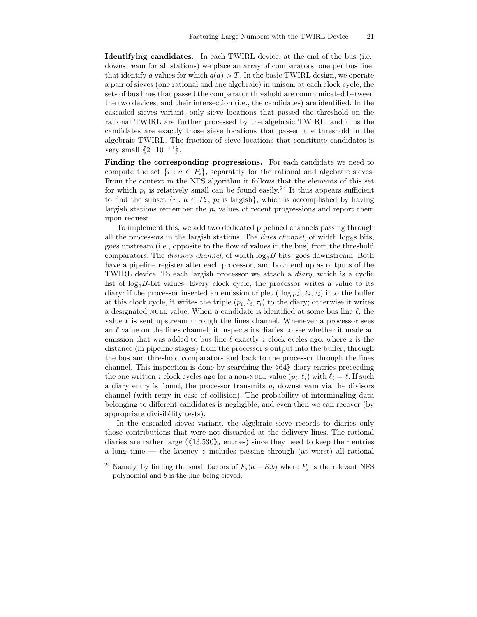Identifying candidates. In each TWIRL device, at the end of the bus (i.e., downstream for all stations) we place an array of comparators, one per bus line, that identify a values for which  $g(a) > T$ . In the basic TWIRL design, we operate a pair of sieves (one rational and one algebraic) in unison: at each clock cycle, the sets of bus lines that passed the comparator threshold are communicated between the two devices, and their intersection (i.e., the candidates) are identified. In the cascaded sieves variant, only sieve locations that passed the threshold on the rational TWIRL are further processed by the algebraic TWIRL, and thus the candidates are exactly those sieve locations that passed the threshold in the algebraic TWIRL. The fraction of sieve locations that constitute candidates is very small  $\langle 2 \cdot 10^{-11} \rangle$ .

Finding the corresponding progressions. For each candidate we need to compute the set  $\{i : a \in P_i\}$ , separately for the rational and algebraic sieves. From the context in the NFS algorithm it follows that the elements of this set for which  $p_i$  is relatively small can be found easily.<sup>24</sup> It thus appears sufficient to find the subset  $\{i : a \in P_i, p_i \text{ is } \text{largish}\},\$  which is accomplished by having largish stations remember the  $p_i$  values of recent progressions and report them upon request.

To implement this, we add two dedicated pipelined channels passing through all the processors in the largish stations. The *lines channel*, of width  $\log_2 s$  bits, goes upstream (i.e., opposite to the flow of values in the bus) from the threshold comparators. The *divisors channel*, of width  $log_2B$  bits, goes downstream. Both have a pipeline register after each processor, and both end up as outputs of the TWIRL device. To each largish processor we attach a diary, which is a cyclic list of  $log_2B$ -bit values. Every clock cycle, the processor writes a value to its diary: if the processor inserted an emission triplet  $(\lfloor \log p_i \rfloor, \ell_i, \tau_i)$  into the buffer at this clock cycle, it writes the triple  $(p_i, \ell_i, \tau_i)$  to the diary; otherwise it writes a designated NULL value. When a candidate is identified at some bus line  $\ell$ , the value  $\ell$  is sent upstream through the lines channel. Whenever a processor sees an  $\ell$  value on the lines channel, it inspects its diaries to see whether it made an emission that was added to bus line  $\ell$  exactly z clock cycles ago, where z is the distance (in pipeline stages) from the processor's output into the buffer, through the bus and threshold comparators and back to the processor through the lines channel. This inspection is done by searching the  $\langle 64 \rangle$  diary entries preceeding the one written z clock cycles ago for a non-NULL value  $(p_i, \ell_i)$  with  $\ell_i = \ell$ . If such a diary entry is found, the processor transmits  $p_i$  downstream via the divisors channel (with retry in case of collision). The probability of intermingling data belonging to different candidates is negligible, and even then we can recover (by appropriate divisibility tests).

In the cascaded sieves variant, the algebraic sieve records to diaries only those contributions that were not discarded at the delivery lines. The rational diaries are rather large ( $\langle 13,530 \rangle$ <sub>R</sub> entries) since they need to keep their entries a long time — the latency  $z$  includes passing through (at worst) all rational

<sup>&</sup>lt;sup>24</sup> Namely, by finding the small factors of  $F_j(a - R,b)$  where  $F_j$  is the relevant NFS polynomial and b is the line being sieved.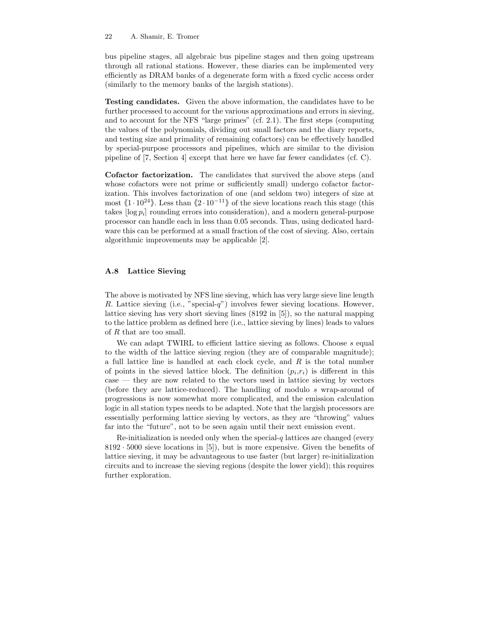bus pipeline stages, all algebraic bus pipeline stages and then going upstream through all rational stations. However, these diaries can be implemented very efficiently as DRAM banks of a degenerate form with a fixed cyclic access order (similarly to the memory banks of the largish stations).

Testing candidates. Given the above information, the candidates have to be further processed to account for the various approximations and errors in sieving, and to account for the NFS "large primes" (cf. 2.1). The first steps (computing the values of the polynomials, dividing out small factors and the diary reports, and testing size and primality of remaining cofactors) can be effectively handled by special-purpose processors and pipelines, which are similar to the division pipeline of [7, Section 4] except that here we have far fewer candidates (cf. C).

Cofactor factorization. The candidates that survived the above steps (and whose cofactors were not prime or sufficiently small) undergo cofactor factorization. This involves factorization of one (and seldom two) integers of size at most  $\langle 1 \cdot 10^{24} \rangle$ . Less than  $\langle 2 \cdot 10^{-11} \rangle$  of the sieve locations reach this stage (this takes  $\log p_i$  rounding errors into consideration), and a modern general-purpose processor can handle each in less than 0.05 seconds. Thus, using dedicated hardware this can be performed at a small fraction of the cost of sieving. Also, certain algorithmic improvements may be applicable [2].

#### A.8 Lattice Sieving

The above is motivated by NFS line sieving, which has very large sieve line length R. Lattice sieving (i.e., "special-q") involves fewer sieving locations. However, lattice sieving has very short sieving lines (8192 in [5]), so the natural mapping to the lattice problem as defined here (i.e., lattice sieving by lines) leads to values of R that are too small.

We can adapt TWIRL to efficient lattice sieving as follows. Choose  $s$  equal to the width of the lattice sieving region (they are of comparable magnitude); a full lattice line is handled at each clock cycle, and R is the total number of points in the sieved lattice block. The definition  $(p_i, r_i)$  is different in this case — they are now related to the vectors used in lattice sieving by vectors (before they are lattice-reduced). The handling of modulo s wrap-around of progressions is now somewhat more complicated, and the emission calculation logic in all station types needs to be adapted. Note that the largish processors are essentially performing lattice sieving by vectors, as they are "throwing" values far into the "future", not to be seen again until their next emission event.

 $Re$ -initialization is needed only when the special- $q$  lattices are changed (every 8192 · 5000 sieve locations in [5]), but is more expensive. Given the benefits of lattice sieving, it may be advantageous to use faster (but larger) re-initialization circuits and to increase the sieving regions (despite the lower yield); this requires further exploration.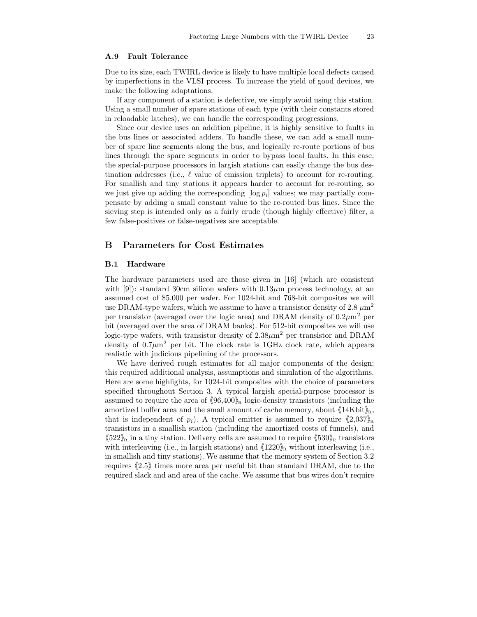## A.9 Fault Tolerance

Due to its size, each TWIRL device is likely to have multiple local defects caused by imperfections in the VLSI process. To increase the yield of good devices, we make the following adaptations.

If any component of a station is defective, we simply avoid using this station. Using a small number of spare stations of each type (with their constants stored in reloadable latches), we can handle the corresponding progressions.

Since our device uses an addition pipeline, it is highly sensitive to faults in the bus lines or associated adders. To handle these, we can add a small number of spare line segments along the bus, and logically re-route portions of bus lines through the spare segments in order to bypass local faults. In this case, the special-purpose processors in largish stations can easily change the bus destination addresses (i.e.,  $\ell$  value of emission triplets) to account for re-routing. For smallish and tiny stations it appears harder to account for re-routing, so we just give up adding the corresponding  $\log p_i$  values; we may partially compensate by adding a small constant value to the re-routed bus lines. Since the sieving step is intended only as a fairly crude (though highly effective) filter, a few false-positives or false-negatives are acceptable.

# B Parameters for Cost Estimates

#### B.1 Hardware

The hardware parameters used are those given in [16] (which are consistent with [9]): standard 30cm silicon wafers with  $0.13\mu$ m process technology, at an assumed cost of \$5,000 per wafer. For 1024-bit and 768-bit composites we will use DRAM-type wafers, which we assume to have a transistor density of 2.8  $\mu$ m<sup>2</sup> per transistor (averaged over the logic area) and DRAM density of  $0.2 \mu m^2$  per bit (averaged over the area of DRAM banks). For 512-bit composites we will use logic-type wafers, with transistor density of  $2.38 \mu m^2$  per transistor and DRAM density of  $0.7 \mu m^2$  per bit. The clock rate is 1GHz clock rate, which appears realistic with judicious pipelining of the processors.

We have derived rough estimates for all major components of the design; this required additional analysis, assumptions and simulation of the algorithms. Here are some highlights, for 1024-bit composites with the choice of parameters specified throughout Section 3. A typical largish special-purpose processor is assumed to require the area of  $\langle 96,400 \rangle_R$  logic-density transistors (including the amortized buffer area and the small amount of cache memory, about  $\langle 14\text{Kbit}\rangle_R$ , that is independent of  $p_i$ ). A typical emitter is assumed to require  $\langle 2.037 \rangle_{\rm R}$ transistors in a smallish station (including the amortized costs of funnels), and  $\langle 522 \rangle$ <sub>R</sub> in a tiny station. Delivery cells are assumed to require  $\langle 530 \rangle$ <sub>R</sub> transistors with interleaving (i.e., in largish stations) and  $\langle 1220\rangle_R$  without interleaving (i.e., in smallish and tiny stations). We assume that the memory system of Section 3.2 requires  $\langle 2.5 \rangle$  times more area per useful bit than standard DRAM, due to the required slack and and area of the cache. We assume that bus wires don't require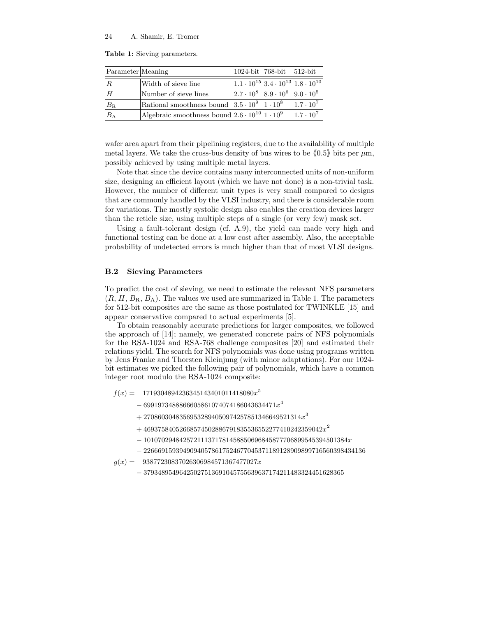Table 1: Sieving parameters.

| Parameter Meaning |                                                                 | 1024-bit 768-bit 512-bit                                    |                  |
|-------------------|-----------------------------------------------------------------|-------------------------------------------------------------|------------------|
| $\overline{R}$    | Width of sieve line                                             | $1.1 \cdot 10^{15}$ 3.4 $\cdot 10^{13}$ 1.8 $\cdot 10^{10}$ |                  |
| H                 | Number of sieve lines                                           | $2.7 \cdot 10^8$ 8.9 $\cdot 10^6$ 9.0 $\cdot 10^5$          |                  |
| $B_{\rm R}$       | Rational smoothness bound $ 3.5 \cdot 10^9 1 \cdot 10^8$        |                                                             | $1.7 \cdot 10^7$ |
| $B_{\rm A}$       | Algebraic smoothness bound $2.6 \cdot 10^{10}$ 1 $\cdot 10^{9}$ |                                                             | $1.7 \cdot 10^7$ |

wafer area apart from their pipelining registers, due to the availability of multiple metal layers. We take the cross-bus density of bus wires to be  $(0.5)$  bits per  $\mu$ m, possibly achieved by using multiple metal layers.

Note that since the device contains many interconnected units of non-uniform size, designing an efficient layout (which we have not done) is a non-trivial task. However, the number of different unit types is very small compared to designs that are commonly handled by the VLSI industry, and there is considerable room for variations. The mostly systolic design also enables the creation devices larger than the reticle size, using multiple steps of a single (or very few) mask set.

Using a fault-tolerant design (cf. A.9), the yield can made very high and functional testing can be done at a low cost after assembly. Also, the acceptable probability of undetected errors is much higher than that of most VLSI designs.

## B.2 Sieving Parameters

To predict the cost of sieving, we need to estimate the relevant NFS parameters  $(R, H, B_R, B_A)$ . The values we used are summarized in Table 1. The parameters for 512-bit composites are the same as those postulated for TWINKLE [15] and appear conservative compared to actual experiments [5].

To obtain reasonably accurate predictions for larger composites, we followed the approach of [14]; namely, we generated concrete pairs of NFS polynomials for the RSA-1024 and RSA-768 challenge composites [20] and estimated their relations yield. The search for NFS polynomials was done using programs written by Jens Franke and Thorsten Kleinjung (with minor adaptations). For our 1024 bit estimates we picked the following pair of polynomials, which have a common integer root modulo the RSA-1024 composite:

- $f(x) = 1719304894236345143401011418080x^5$ 
	- $-6991973488866605861074074186043634471x^4$
	- $+\ 27086030483569532894050974257851346649521314x^3$
	- $+\ 46937584052668574502886791835536552277410242359042x^2$
	- $-101070294842572111371781458850696845877706899545394501384x$
	- − 22666915939490940578617524677045371189128909899716560398434136

 $g(x) = 93877230837026306984571367477027x$ 

− 37934895496425027513691045755639637174211483324451628365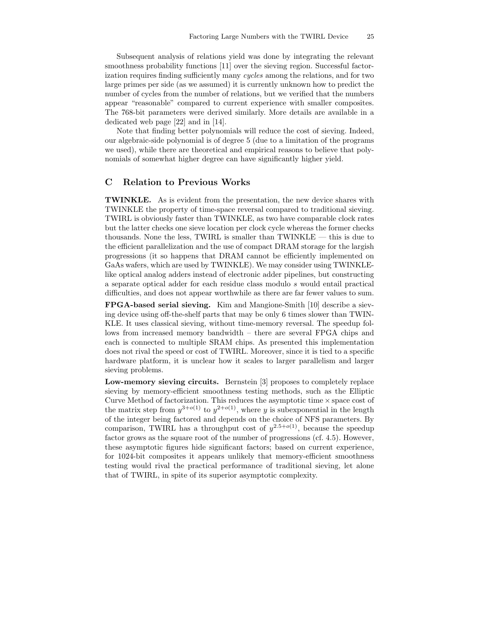Subsequent analysis of relations yield was done by integrating the relevant smoothness probability functions [11] over the sieving region. Successful factorization requires finding sufficiently many cycles among the relations, and for two large primes per side (as we assumed) it is currently unknown how to predict the number of cycles from the number of relations, but we verified that the numbers appear "reasonable" compared to current experience with smaller composites. The 768-bit parameters were derived similarly. More details are available in a dedicated web page [22] and in [14].

Note that finding better polynomials will reduce the cost of sieving. Indeed, our algebraic-side polynomial is of degree 5 (due to a limitation of the programs we used), while there are theoretical and empirical reasons to believe that polynomials of somewhat higher degree can have significantly higher yield.

# C Relation to Previous Works

TWINKLE. As is evident from the presentation, the new device shares with TWINKLE the property of time-space reversal compared to traditional sieving. TWIRL is obviously faster than TWINKLE, as two have comparable clock rates but the latter checks one sieve location per clock cycle whereas the former checks thousands. None the less, TWIRL is smaller than TWINKLE — this is due to the efficient parallelization and the use of compact DRAM storage for the largish progressions (it so happens that DRAM cannot be efficiently implemented on GaAs wafers, which are used by TWINKLE). We may consider using TWINKLElike optical analog adders instead of electronic adder pipelines, but constructing a separate optical adder for each residue class modulo s would entail practical difficulties, and does not appear worthwhile as there are far fewer values to sum.

FPGA-based serial sieving. Kim and Mangione-Smith [10] describe a sieving device using off-the-shelf parts that may be only 6 times slower than TWIN-KLE. It uses classical sieving, without time-memory reversal. The speedup follows from increased memory bandwidth – there are several FPGA chips and each is connected to multiple SRAM chips. As presented this implementation does not rival the speed or cost of TWIRL. Moreover, since it is tied to a specific hardware platform, it is unclear how it scales to larger parallelism and larger sieving problems.

Low-memory sieving circuits. Bernstein [3] proposes to completely replace sieving by memory-efficient smoothness testing methods, such as the Elliptic Curve Method of factorization. This reduces the asymptotic time  $\times$  space cost of the matrix step from  $y^{3+o(1)}$  to  $y^{2+o(1)}$ , where y is subexponential in the length of the integer being factored and depends on the choice of NFS parameters. By comparison, TWIRL has a throughput cost of  $y^{2.5+o(1)}$ , because the speedup factor grows as the square root of the number of progressions (cf. 4.5). However, these asymptotic figures hide significant factors; based on current experience, for 1024-bit composites it appears unlikely that memory-efficient smoothness testing would rival the practical performance of traditional sieving, let alone that of TWIRL, in spite of its superior asymptotic complexity.